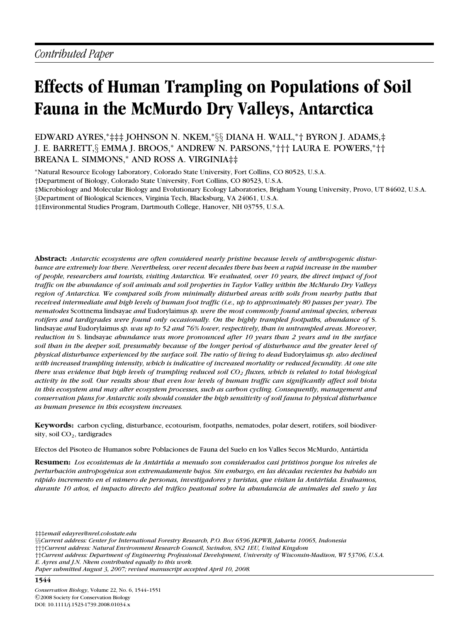# **Effects of Human Trampling on Populations of Soil Fauna in the McMurdo Dry Valleys, Antarctica**

EDWARD AYRES,∗‡‡‡ JOHNSON N. NKEM,<sup>∗</sup>§§ DIANA H. WALL,∗† BYRON J. ADAMS,‡ J. E. BARRETT,§ EMMA J. BROOS,<sup>∗</sup> ANDREW N. PARSONS,∗††† LAURA E. POWERS,∗†† BREANA L. SIMMONS,<sup>∗</sup> AND ROSS A. VIRGINIA‡‡

<sup>∗</sup>Natural Resource Ecology Laboratory, Colorado State University, Fort Collins, CO 80523, U.S.A.

†Department of Biology, Colorado State University, Fort Collins, CO 80523, U.S.A.

‡Microbiology and Molecular Biology and Evolutionary Ecology Laboratories, Brigham Young University, Provo, UT 84602, U.S.A.

§Department of Biological Sciences, Virginia Tech, Blacksburg, VA 24061, U.S.A.

‡‡Environmental Studies Program, Dartmouth College, Hanover, NH 03755, U.S.A.

**Abstract:** *Antarctic ecosystems are often considered nearly pristine because levels of anthropogenic disturbance are extremely low there. Nevertheless, over recent decades there has been a rapid increase in the number of people, researchers and tourists, visiting Antarctica. We evaluated, over 10 years, the direct impact of foot traffic on the abundance of soil animals and soil properties in Taylor Valley within the McMurdo Dry Valleys region of Antarctica. We compared soils from minimally disturbed areas with soils from nearby paths that received intermediate and high levels of human foot traffic (i.e., up to approximately 80 passes per year). The nematodes* Scottnema lindsayae *and* Eudorylaimus *sp. were the most commonly found animal species, whereas rotifers and tardigrades were found only occasionally. On the highly trampled footpaths, abundance of* S. lindsayae *and* Eudorylaimus *sp. was up to 52 and 76% lower, respectively, than in untrampled areas. Moreover, reduction in* S. lindsayae *abundance was more pronounced after 10 years than 2 years and in the surface soil than in the deeper soil, presumably because of the longer period of disturbance and the greater level of physical disturbance experienced by the surface soil. The ratio of living to dead* Eudorylaimus *sp. also declined with increased trampling intensity, which is indicative of increased mortality or reduced fecundity. At one site there was evidence that high levels of trampling reduced soil CO2 fluxes, which is related to total biological activity in the soil. Our results show that even low levels of human traffic can significantly affect soil biota in this ecosystem and may alter ecosystem processes, such as carbon cycling. Consequently, management and conservation plans for Antarctic soils should consider the high sensitivity of soil fauna to physical disturbance as human presence in this ecosystem increases.*

**Keywords:** carbon cycling, disturbance, ecotourism, footpaths, nematodes, polar desert, rotifers, soil biodiversity, soil CO<sub>2</sub>, tardigrades

Efectos del Pisoteo de Humanos sobre Poblaciones de Fauna del Suelo en los Valles Secos McMurdo, Antártida

**Resumen:** *Los ecosistemas de la Antartida a menudo son considerados casi pr ´ ´ıstinos porque los niveles de perturbacion antropog ´ ´enica son extremadamente bajos. Sin embargo, en las d´ecadas recientes ha habido un rapido incremento en el n ´ umero de personas, investigadores y turistas, que visitan la Ant ´ artida. Evaluamos, ´ durante 10 anos, el impacto directo del tr ˜ afico peatonal sobre la abundancia de animales del suelo y las ´*

‡‡‡*email edayres@nrel.colostate.edu*

- †††*Current address: Natural Environment Research Council, Swindon, SN2 1EU, United Kingdom*
- ††*Current address: Department of Engineering Professional Development, University of Wisconsin-Madison, WI 53706, U.S.A.*
- *E. Ayres and J.N. Nkem contributed equally to this work.*

<sup>§§</sup>*Current address: Center for International Forestry Research, P.O. Box 6596 JKPWB, Jakarta 10065, Indonesia*

*Paper submitted August 3, 2007; revised manuscript accepted April 10, 2008.*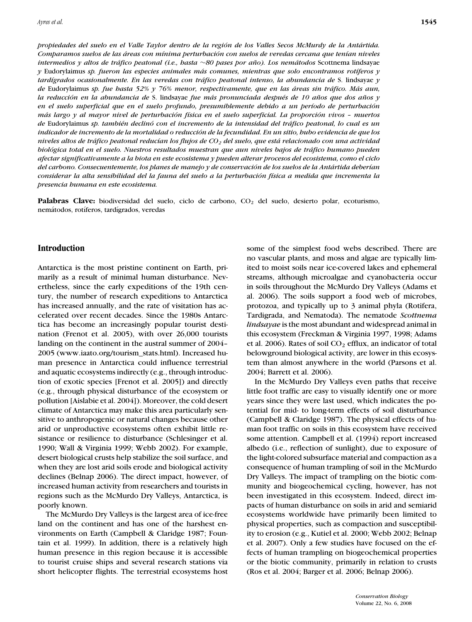*propiedades del suelo en el Valle Taylor dentro de la región de los Valles Secos McMurdy de la Antártida. Comparamos suelos de las areas con m ´ ´ınima perturbacion con suelos de veredas cercana que ten ´ ´ıan niveles intermedios y altos de tráfico peatonal (i.e., basta ∼80 pases por año). Los nemátodos Scottnema lindsayae y* Eudorylaimus *sp. fueron las especies animales mas comunes, mientras que solo encontramos rot ´ ´ıferos y tard´ıgrados ocasionalmente. En las veredas con trafico peatonal intenso, la abundancia de ´* S. lindsayae *y de* Eudorylaimus *sp. fue hasta 52% y 76% menor, respectivamente, que en las areas sin tr ´ afico. M ´ as aun, ´ la reducción en la abundancia de S.* lindsayae *fue más pronunciada después de 10 años que dos años y en el suelo superficial que en el suelo profundo, presumiblemente debido a un per´ıodo de perturbacion´ mas largo y al mayor nivel de perturbaci ´ on f ´ ´ısica en el suelo superficial. La proporcion vivos – muertos ´ de* Eudorylaimus *sp. tambi´en declino con el incremento de la intensidad del tr ´ afico peatonal, lo cual es un ´ indicador de incremento de la mortalidad o reduccion de la fecundidad. En un sitio, hubo evidencia de que los ´ niveles altos de trafico peatonal reduc ´ ´ıan los flujos de CO2 del suelo, que esta relacionado con una actividad ´ biologica total en el suelo. Nuestros resultados muestran que aun niveles bajos de tr ´ afico humano pueden ´ afectar significativamente a la biota en este ecosistema y pueden alterar procesos del ecosistema, como el ciclo del carbono. Consecuentemente, los planes de manejo y de conservacion de los suelos de la Ant ´ artida deber ´ ´ıan considerar la alta sensibilidad del la fauna del suelo a la perturbacion f ´ ´ısica a medida que incrementa la presencia humana en este ecosistema.*

Palabras Clave: biodiversidad del suelo, ciclo de carbono, CO<sub>2</sub> del suelo, desierto polar, ecoturismo, nemátodos, rotíferos, tardígrados, veredas

## **Introduction**

Antarctica is the most pristine continent on Earth, primarily as a result of minimal human disturbance. Nevertheless, since the early expeditions of the 19th century, the number of research expeditions to Antarctica has increased annually, and the rate of visitation has accelerated over recent decades. Since the 1980s Antarctica has become an increasingly popular tourist destination (Frenot et al. 2005), with over 26,000 tourists landing on the continent in the austral summer of 2004– 2005 (www.iaato.org/tourism\_stats.html). Increased human presence in Antarctica could influence terrestrial and aquatic ecosystems indirectly (e.g., through introduction of exotic species [Frenot et al. 2005]) and directly (e.g., through physical disturbance of the ecosystem or pollution [Aislabie et al. 2004]). Moreover, the cold desert climate of Antarctica may make this area particularly sensitive to anthropogenic or natural changes because other arid or unproductive ecosystems often exhibit little resistance or resilience to disturbance (Schlesinger et al. 1990; Wall & Virginia 1999; Webb 2002). For example, desert biological crusts help stabilize the soil surface, and when they are lost arid soils erode and biological activity declines (Belnap 2006). The direct impact, however, of increased human activity from researchers and tourists in regions such as the McMurdo Dry Valleys, Antarctica, is poorly known.

The McMurdo Dry Valleys is the largest area of ice-free land on the continent and has one of the harshest environments on Earth (Campbell & Claridge 1987; Fountain et al. 1999). In addition, there is a relatively high human presence in this region because it is accessible to tourist cruise ships and several research stations via short helicopter flights. The terrestrial ecosystems host

some of the simplest food webs described. There are no vascular plants, and moss and algae are typically limited to moist soils near ice-covered lakes and ephemeral streams, although microalgae and cyanobacteria occur in soils throughout the McMurdo Dry Valleys (Adams et al. 2006). The soils support a food web of microbes, protozoa, and typically up to 3 animal phyla (Rotifera, Tardigrada, and Nematoda). The nematode *Scottnema lindsayae* is the most abundant and widespread animal in this ecosystem (Freckman & Virginia 1997, 1998; Adams et al. 2006). Rates of soil  $CO<sub>2</sub>$  efflux, an indicator of total belowground biological activity, are lower in this ecosystem than almost anywhere in the world (Parsons et al. 2004; Barrett et al. 2006).

In the McMurdo Dry Valleys even paths that receive little foot traffic are easy to visually identify one or more years since they were last used, which indicates the potential for mid- to long-term effects of soil disturbance (Campbell & Claridge 1987). The physical effects of human foot traffic on soils in this ecosystem have received some attention. Campbell et al. (1994) report increased albedo (i.e., reflection of sunlight), due to exposure of the light-colored subsurface material and compaction as a consequence of human trampling of soil in the McMurdo Dry Valleys. The impact of trampling on the biotic community and biogeochemical cycling, however, has not been investigated in this ecosystem. Indeed, direct impacts of human disturbance on soils in arid and semiarid ecosystems worldwide have primarily been limited to physical properties, such as compaction and susceptibility to erosion (e.g., Kutiel et al. 2000; Webb 2002; Belnap et al. 2007). Only a few studies have focused on the effects of human trampling on biogeochemical properties or the biotic community, primarily in relation to crusts (Ros et al. 2004; Barger et al. 2006; Belnap 2006).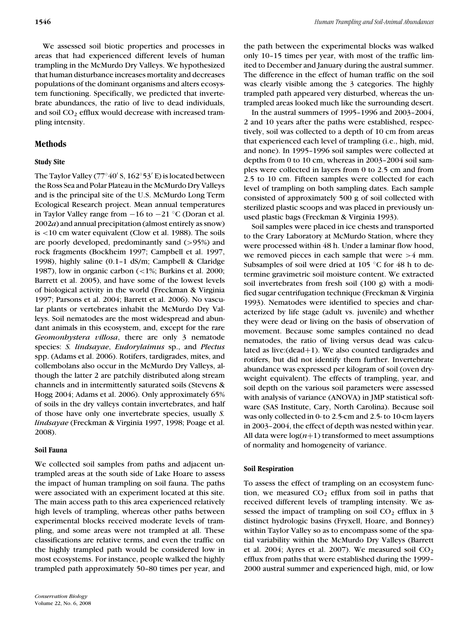We assessed soil biotic properties and processes in areas that had experienced different levels of human trampling in the McMurdo Dry Valleys. We hypothesized that human disturbance increases mortality and decreases populations of the dominant organisms and alters ecosystem functioning. Specifically, we predicted that invertebrate abundances, the ratio of live to dead individuals, and soil CO<sub>2</sub> efflux would decrease with increased trampling intensity.

# **Methods**

# **Study Site**

The Taylor Valley (77°40′ S, 162°53′ E) is located between the Ross Sea and Polar Plateau in the McMurdo Dry Valleys and is the principal site of the U.S. McMurdo Long Term Ecological Research project. Mean annual temperatures in Taylor Valley range from −16 to −21 ◦C (Doran et al. 2002*a*) and annual precipitation (almost entirely as snow) is <10 cm water equivalent (Clow et al. 1988). The soils are poorly developed, predominantly sand (>95%) and rock fragments (Bockheim 1997; Campbell et al. 1997, 1998), highly saline (0.1–1 dS/m; Campbell & Claridge 1987), low in organic carbon (<1%; Burkins et al. 2000; Barrett et al. 2005), and have some of the lowest levels of biological activity in the world (Freckman & Virginia 1997; Parsons et al. 2004; Barrett et al. 2006). No vascular plants or vertebrates inhabit the McMurdo Dry Valleys. Soil nematodes are the most widespread and abundant animals in this ecosystem, and, except for the rare *Geomonhystera villosa*, there are only 3 nematode species: *S. lindsayae*, *Eudorylaimus* sp., and *Plectus* spp. (Adams et al. 2006). Rotifers, tardigrades, mites, and collembolans also occur in the McMurdo Dry Valleys, although the latter 2 are patchily distributed along stream channels and in intermittently saturated soils (Stevens & Hogg 2004; Adams et al. 2006). Only approximately 65% of soils in the dry valleys contain invertebrates, and half of those have only one invertebrate species, usually *S. lindsayae* (Freckman & Virginia 1997, 1998; Poage et al. 2008).

#### **Soil Fauna**

We collected soil samples from paths and adjacent untrampled areas at the south side of Lake Hoare to assess the impact of human trampling on soil fauna. The paths were associated with an experiment located at this site. The main access path to this area experienced relatively high levels of trampling, whereas other paths between experimental blocks received moderate levels of trampling, and some areas were not trampled at all. These classifications are relative terms, and even the traffic on the highly trampled path would be considered low in most ecosystems. For instance, people walked the highly trampled path approximately 50–80 times per year, and

the path between the experimental blocks was walked only 10–15 times per year, with most of the traffic limited to December and January during the austral summer. The difference in the effect of human traffic on the soil was clearly visible among the 3 categories. The highly trampled path appeared very disturbed, whereas the untrampled areas looked much like the surrounding desert.

In the austral summers of 1995–1996 and 2003–2004, 2 and 10 years after the paths were established, respectively, soil was collected to a depth of 10 cm from areas that experienced each level of trampling (i.e., high, mid, and none). In 1995–1996 soil samples were collected at depths from 0 to 10 cm, whereas in 2003–2004 soil samples were collected in layers from 0 to 2.5 cm and from 2.5 to 10 cm. Fifteen samples were collected for each level of trampling on both sampling dates. Each sample consisted of approximately 500 g of soil collected with sterilized plastic scoops and was placed in previously unused plastic bags (Freckman & Virginia 1993).

Soil samples were placed in ice chests and transported to the Crary Laboratory at McMurdo Station, where they were processed within 48 h. Under a laminar flow hood, we removed pieces in each sample that were  $>4$  mm. Subsamples of soil were dried at 105  $°C$  for 48 h to determine gravimetric soil moisture content. We extracted soil invertebrates from fresh soil (100 g) with a modified sugar centrifugation technique (Freckman & Virginia 1993). Nematodes were identified to species and characterized by life stage (adult vs. juvenile) and whether they were dead or living on the basis of observation of movement. Because some samples contained no dead nematodes, the ratio of living versus dead was calculated as live:(dead+1). We also counted tardigrades and rotifers, but did not identify them further. Invertebrate abundance was expressed per kilogram of soil (oven dryweight equivalent). The effects of trampling, year, and soil depth on the various soil parameters were assessed with analysis of variance (ANOVA) in JMP statistical software (SAS Institute, Cary, North Carolina). Because soil was only collected in 0- to 2.5-cm and 2.5- to 10-cm layers in 2003–2004, the effect of depth was nested within year. All data were  $log(n+1)$  transformed to meet assumptions of normality and homogeneity of variance.

#### **Soil Respiration**

To assess the effect of trampling on an ecosystem function, we measured  $CO<sub>2</sub>$  efflux from soil in paths that received different levels of trampling intensity. We assessed the impact of trampling on soil  $CO<sub>2</sub>$  efflux in 3 distinct hydrologic basins (Fryxell, Hoare, and Bonney) within Taylor Valley so as to encompass some of the spatial variability within the McMurdo Dry Valleys (Barrett et al. 2004; Ayres et al. 2007). We measured soil  $CO<sub>2</sub>$ efflux from paths that were established during the 1999– 2000 austral summer and experienced high, mid, or low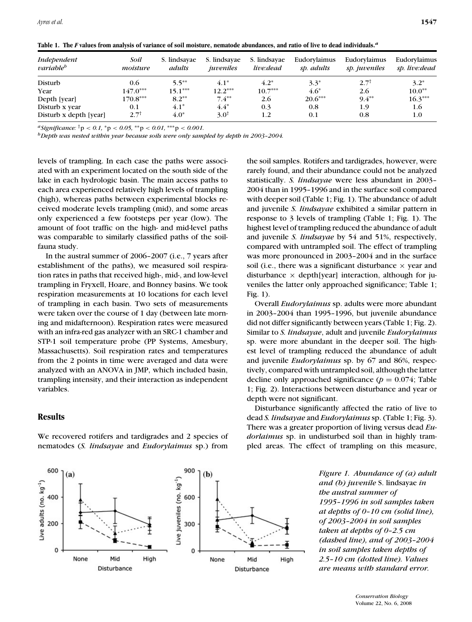|  |  |  |  |  |  | Table 1. The F values from analysis of variance of soil moisture, nematode abundances, and ratio of live to dead individuals. <sup><i>a</i></sup> |  |  |  |
|--|--|--|--|--|--|---------------------------------------------------------------------------------------------------------------------------------------------------|--|--|--|
|--|--|--|--|--|--|---------------------------------------------------------------------------------------------------------------------------------------------------|--|--|--|

| Independent<br>variable <sup>b</sup> | Soil<br>moisture | S. lindsayae<br>adults | S. lindsayae<br>juveniles | S. lindsayae<br>live:dead | Eudorylaimus<br>sp. adults | Eudorylaimus<br>sp. juveniles | Eudorvlaimus<br>sp. live:dead |
|--------------------------------------|------------------|------------------------|---------------------------|---------------------------|----------------------------|-------------------------------|-------------------------------|
| Disturb                              | 0.6              | $5.5***$               | $4.1*$                    | $4.2*$                    | $3.3^*$                    | $2.7^{\dagger}$               | $3.2*$                        |
| Year                                 | $147.0***$       | $15.1***$              | $12.2***$                 | $10.7***$                 | 4.6*                       | 2.6                           | $10.0**$                      |
| Depth [year]                         | $170.8***$       | $8.2**$                | $7.4**$                   | 2.6                       | $20.6***$                  | $9.4**$                       | $16.3***$                     |
| Disturb x year                       | 0.1              | $4.1*$                 | $4.4*$                    | 0.3                       | 0.8                        | 1.9                           | 1.6                           |
| Disturb x depth [year]               | $2.7^{\dagger}$  | $4.0*$                 | $3.0^{\dagger}$           | 1.2                       | 0.1                        | 0.8                           | $1.0\,$                       |

 $a^a$ *Significance:* <sup>†</sup>p < 0.1, <sup>\*</sup>p < 0.05, <sup>\*\*</sup>p < 0.01, <sup>\*\*\*</sup>p < 0.001.

*bDepth was nested within year because soils were only sampled by depth in 2003–2004.*

levels of trampling. In each case the paths were associated with an experiment located on the south side of the lake in each hydrologic basin. The main access paths to each area experienced relatively high levels of trampling (high), whereas paths between experimental blocks received moderate levels trampling (mid), and some areas only experienced a few footsteps per year (low). The amount of foot traffic on the high- and mid-level paths was comparable to similarly classified paths of the soilfauna study.

In the austral summer of 2006–2007 (i.e., 7 years after establishment of the paths), we measured soil respiration rates in paths that received high-, mid-, and low-level trampling in Fryxell, Hoare, and Bonney basins. We took respiration measurements at 10 locations for each level of trampling in each basin. Two sets of measurements were taken over the course of 1 day (between late morning and midafternoon). Respiration rates were measured with an infra-red gas analyzer with an SRC-1 chamber and STP-1 soil temperature probe (PP Systems, Amesbury, Massachusetts). Soil respiration rates and temperatures from the 2 points in time were averaged and data were analyzed with an ANOVA in JMP, which included basin, trampling intensity, and their interaction as independent variables.

## **Results**

600

400

200

 $\mathbf 0$ 

Live adults (no. kg<sup>-1</sup>)





Overall *Eudorylaimus* sp. adults were more abundant in 2003–2004 than 1995–1996, but juvenile abundance did not differ significantly between years (Table 1; Fig. 2). Similar to *S. lindsayae*, adult and juvenile *Eudorylaimus* sp. were more abundant in the deeper soil. The highest level of trampling reduced the abundance of adult and juvenile *Eudorylaimus* sp. by 67 and 86%, respectively, compared with untrampled soil, although the latter decline only approached significance  $(p = 0.074;$  Table 1; Fig. 2). Interactions between disturbance and year or depth were not significant.

Disturbance significantly affected the ratio of live to dead *S. lindsayae* and *Eudorylaimus* sp. (Table 1; Fig. 3). There was a greater proportion of living versus dead *Eudorlaimus* sp. in undisturbed soil than in highly trampled areas. The effect of trampling on this measure,

> *Figure 1. Abundance of (a) adult and (b) juvenile* S. lindsayae *in the austral summer of 1995–1996 in soil samples taken at depths of 0–10 cm (solid line), of 2003–2004 in soil samples taken at depths of 0–2.5 cm (dashed line), and of 2003–2004 in soil samples taken depths of 2.5–10 cm (dotted line). Values are means with standard error.*

900  $(a)$  $(h)$ Live juveniles (no. kg<sup>-1</sup>) 600 300 0 None Mid High None Mid High **Disturbance** Disturbance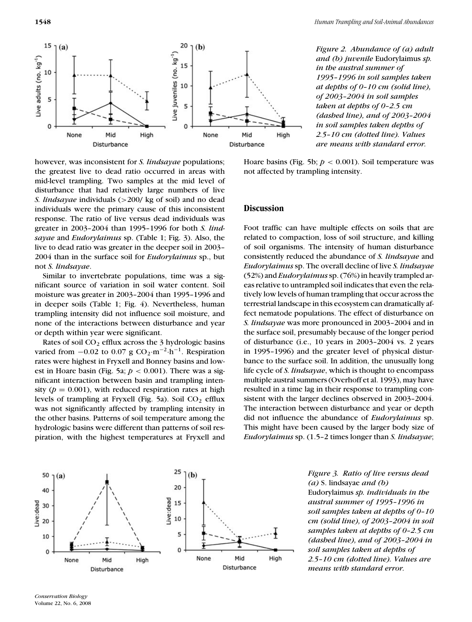**1548** *Human Trampling and Soil-Animal Abundances*



*Figure 2. Abundance of (a) adult and (b) juvenile* Eudorylaimus *sp. in the austral summer of 1995–1996 in soil samples taken at depths of 0–10 cm (solid line), of 2003–2004 in soil samples taken at depths of 0–2.5 cm (dashed line), and of 2003–2004 in soil samples taken depths of 2.5–10 cm (dotted line). Values are means with standard error.*

however, was inconsistent for *S. lindsayae* populations; the greatest live to dead ratio occurred in areas with mid-level trampling. Two samples at the mid level of disturbance that had relatively large numbers of live *S. lindsayae* individuals (>200/ kg of soil) and no dead individuals were the primary cause of this inconsistent response. The ratio of live versus dead individuals was greater in 2003–2004 than 1995–1996 for both *S. lindsayae* and *Eudorylaimus* sp. (Table 1; Fig. 3). Also, the live to dead ratio was greater in the deeper soil in 2003– 2004 than in the surface soil for *Eudorylaimus* sp., but not *S. lindsayae*.

Similar to invertebrate populations, time was a significant source of variation in soil water content. Soil moisture was greater in 2003–2004 than 1995–1996 and in deeper soils (Table 1; Fig. 4). Nevertheless, human trampling intensity did not influence soil moisture, and none of the interactions between disturbance and year or depth within year were significant.

Rates of soil CO<sub>2</sub> efflux across the 3 hydrologic basins varied from  $-0.02$  to 0.07 g CO<sub>2</sub>·m<sup>-2</sup>·h<sup>-1</sup>. Respiration rates were highest in Fryxell and Bonney basins and lowest in Hoare basin (Fig. 5a;  $p < 0.001$ ). There was a significant interaction between basin and trampling intensity ( $p = 0.001$ ), with reduced respiration rates at high levels of trampling at Fryxell (Fig. 5a). Soil  $CO<sub>2</sub>$  efflux was not significantly affected by trampling intensity in the other basins. Patterns of soil temperature among the hydrologic basins were different than patterns of soil respiration, with the highest temperatures at Fryxell and Hoare basins (Fig. 5b;  $p < 0.001$ ). Soil temperature was not affected by trampling intensity.

## **Discussion**

Foot traffic can have multiple effects on soils that are related to compaction, loss of soil structure, and killing of soil organisms. The intensity of human disturbance consistently reduced the abundance of *S. lindsayae* and *Eudorylaimus* sp. The overall decline of live *S. lindsayae* (52%) and *Eudorylaimus*sp. (76%) in heavily trampled areas relative to untrampled soil indicates that even the relatively low levels of human trampling that occur across the terrestrial landscape in this ecosystem can dramatically affect nematode populations. The effect of disturbance on *S. lindsayae* was more pronounced in 2003–2004 and in the surface soil, presumably because of the longer period of disturbance (i.e., 10 years in 2003–2004 vs. 2 years in 1995–1996) and the greater level of physical disturbance to the surface soil. In addition, the unusually long life cycle of *S. lindsayae*, which is thought to encompass multiple austral summers (Overhoff et al. 1993), may have resulted in a time lag in their response to trampling consistent with the larger declines observed in 2003–2004. The interaction between disturbance and year or depth did not influence the abundance of *Eudorylaimus* sp. This might have been caused by the larger body size of *Eudorylaimus* sp. (1.5–2 times longer than *S. lindsayae*;



*Figure 3. Ratio of live versus dead (a)* S. lindsayae *and (b)* Eudorylaimus *sp. individuals in the austral summer of 1995–1996 in soil samples taken at depths of 0–10 cm (solid line), of 2003–2004 in soil samples taken at depths of 0–2.5 cm (dashed line), and of 2003–2004 in soil samples taken at depths of 2.5–10 cm (dotted line). Values are means with standard error.*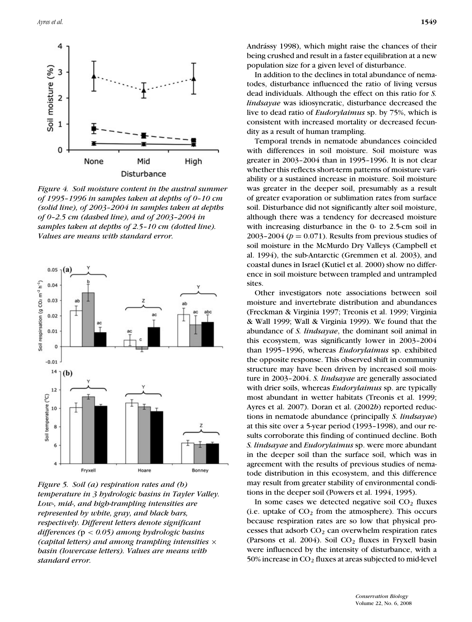

*Figure 4. Soil moisture content in the austral summer of 1995–1996 in samples taken at depths of 0–10 cm (solid line), of 2003–2004 in samples taken at depths of 0–2.5 cm (dashed line), and of 2003–2004 in samples taken at depths of 2.5–10 cm (dotted line). Values are means with standard error.*



*Figure 5. Soil (a) respiration rates and (b) temperature in 3 hydrologic basins in Tayler Valley. Low-, mid-, and high-trampling intensities are represented by white, gray, and black bars, respectively. Different letters denote significant differences (*p < *0.05) among hydrologic basins (capital letters) and among trampling intensities* × *basin (lowercase letters). Values are means with standard error.*

Andrássy 1998), which might raise the chances of their being crushed and result in a faster equilibration at a new population size for a given level of disturbance.

In addition to the declines in total abundance of nematodes, disturbance influenced the ratio of living versus dead individuals. Although the effect on this ratio for *S. lindsayae* was idiosyncratic, disturbance decreased the live to dead ratio of *Eudorylaimus* sp. by 75%, which is consistent with increased mortality or decreased fecundity as a result of human trampling.

Temporal trends in nematode abundances coincided with differences in soil moisture. Soil moisture was greater in 2003–2004 than in 1995–1996. It is not clear whether this reflects short-term patterns of moisture variability or a sustained increase in moisture. Soil moisture was greater in the deeper soil, presumably as a result of greater evaporation or sublimation rates from surface soil. Disturbance did not significantly alter soil moisture, although there was a tendency for decreased moisture with increasing disturbance in the 0- to 2.5-cm soil in 2003–2004 ( $p = 0.071$ ). Results from previous studies of soil moisture in the McMurdo Dry Valleys (Campbell et al. 1994), the sub-Antarctic (Gremmen et al. 2003), and coastal dunes in Israel (Kutiel et al. 2000) show no difference in soil moisture between trampled and untrampled sites.

Other investigators note associations between soil moisture and invertebrate distribution and abundances (Freckman & Virginia 1997; Treonis et al. 1999; Virginia & Wall 1999; Wall & Virginia 1999). We found that the abundance of *S. lindsayae*, the dominant soil animal in this ecosystem, was significantly lower in 2003–2004 than 1995–1996, whereas *Eudorylaimus* sp. exhibited the opposite response. This observed shift in community structure may have been driven by increased soil moisture in 2003–2004. *S. lindsayae* are generally associated with drier soils, whereas *Eudorylaimus* sp. are typically most abundant in wetter habitats (Treonis et al. 1999; Ayres et al. 2007). Doran et al. (2002*b*) reported reductions in nematode abundance (principally *S. lindsayae*) at this site over a 5-year period (1993–1998), and our results corroborate this finding of continued decline. Both *S. lindsayae* and *Eudorylaimus* sp. were more abundant in the deeper soil than the surface soil, which was in agreement with the results of previous studies of nematode distribution in this ecosystem, and this difference may result from greater stability of environmental conditions in the deeper soil (Powers et al. 1994, 1995).

In some cases we detected negative soil  $CO<sub>2</sub>$  fluxes (i.e. uptake of  $CO<sub>2</sub>$  from the atmosphere). This occurs because respiration rates are so low that physical processes that adsorb  $CO<sub>2</sub>$  can overwhelm respiration rates (Parsons et al. 2004). Soil  $CO<sub>2</sub>$  fluxes in Fryxell basin were influenced by the intensity of disturbance, with a 50% increase in  $CO<sub>2</sub>$  fluxes at areas subjected to mid-level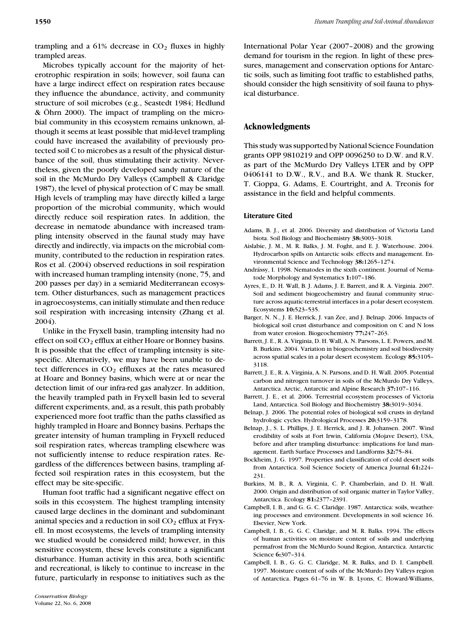trampling and a  $61\%$  decrease in  $CO<sub>2</sub>$  fluxes in highly trampled areas.

Microbes typically account for the majority of heterotrophic respiration in soils; however, soil fauna can have a large indirect effect on respiration rates because they influence the abundance, activity, and community structure of soil microbes (e.g., Seastedt 1984; Hedlund  $& Ohrn$  2000). The impact of trampling on the microbial community in this ecosystem remains unknown, although it seems at least possible that mid-level trampling could have increased the availability of previously protected soil C to microbes as a result of the physical disturbance of the soil, thus stimulating their activity. Nevertheless, given the poorly developed sandy nature of the soil in the McMurdo Dry Valleys (Campbell & Claridge 1987), the level of physical protection of C may be small. High levels of trampling may have directly killed a large proportion of the microbial community, which would directly reduce soil respiration rates. In addition, the decrease in nematode abundance with increased trampling intensity observed in the faunal study may have directly and indirectly, via impacts on the microbial community, contributed to the reduction in respiration rates. Ros et al. (2004) observed reductions in soil respiration with increased human trampling intensity (none, 75, and 200 passes per day) in a semiarid Mediterranean ecosystem. Other disturbances, such as management practices in agroecosystems, can initially stimulate and then reduce soil respiration with increasing intensity (Zhang et al. 2004).

Unlike in the Fryxell basin, trampling intensity had no effect on soil  $CO<sub>2</sub>$  efflux at either Hoare or Bonney basins. It is possible that the effect of trampling intensity is sitespecific. Alternatively, we may have been unable to detect differences in  $CO<sub>2</sub>$  effluxes at the rates measured at Hoare and Bonney basins, which were at or near the detection limit of our infra-red gas analyzer. In addition, the heavily trampled path in Fryxell basin led to several different experiments, and, as a result, this path probably experienced more foot traffic than the paths classified as highly trampled in Hoare and Bonney basins. Perhaps the greater intensity of human trampling in Fryxell reduced soil respiration rates, whereas trampling elsewhere was not sufficiently intense to reduce respiration rates. Regardless of the differences between basins, trampling affected soil respiration rates in this ecosystem, but the effect may be site-specific.

Human foot traffic had a significant negative effect on soils in this ecosystem. The highest trampling intensity caused large declines in the dominant and subdominant animal species and a reduction in soil  $CO<sub>2</sub>$  efflux at Fryxell. In most ecosystems, the levels of trampling intensity we studied would be considered mild; however, in this sensitive ecosystem, these levels constitute a significant disturbance. Human activity in this area, both scientific and recreational, is likely to continue to increase in the future, particularly in response to initiatives such as the

International Polar Year (2007–2008) and the growing demand for tourism in the region. In light of these pressures, management and conservation options for Antarctic soils, such as limiting foot traffic to established paths, should consider the high sensitivity of soil fauna to physical disturbance.

# **Acknowledgments**

This study was supported by National Science Foundation grants OPP 9810219 and OPP 0096250 to D.W. and R.V. as part of the McMurdo Dry Valleys LTER and by OPP 0406141 to D.W., R.V., and B.A. We thank R. Stucker, T. Cioppa, G. Adams, E. Courtright, and A. Treonis for assistance in the field and helpful comments.

# **Literature Cited**

- Adams, B. J., et al. 2006. Diversity and distribution of Victoria Land biota. Soil Biology and Biochemistry **38:**3003–3018.
- Aislabie, J. M., M. R. Balks, J. M. Foght, and E. J. Waterhouse. 2004. Hydrocarbon spills on Antarctic soils: effects and management. Environmental Science and Technology **38:**1265–1274.
- Andrássy, I. 1998. Nematodes in the sixth continent. Journal of Nematode Morphology and Systematics **1:**107–186.
- Ayres, E., D. H. Wall, B. J. Adams, J. E. Barrett, and R. A. Virginia. 2007. Soil and sediment biogeochemistry and faunal community structure across aquatic-terrestrial interfaces in a polar desert ecosystem. Ecosystems **10:**523–535.
- Barger, N. N., J. E. Herrick, J. van Zee, and J. Belnap. 2006. Impacts of biological soil crust disturbance and composition on C and N loss from water erosion. Biogeochemistry **77:**247–263.
- Barrett, J. E., R. A. Virginia, D. H. Wall, A. N. Parsons, L. E. Powers, and M. B. Burkins. 2004. Variation in biogeochemistry and soil biodiversity across spatial scales in a polar desert ecosystem. Ecology **85:**3105– 3118.
- Barrett, J. E., R. A. Virginia, A. N. Parsons, and D. H. Wall. 2005. Potential carbon and nitrogen turnover in soils of the McMurdo Dry Valleys, Antarctica. Arctic, Antarctic and Alpine Research **37:**107–116.
- Barrett, J. E., et al. 2006. Terrestrial ecosystem processes of Victoria Land, Antarctica. Soil Biology and Biochemistry **38:**3019–3034.
- Belnap, J. 2006. The potential roles of biological soil crusts in dryland hydrologic cycles. Hydrological Processes **20:**3159–3178.
- Belnap, J., S. L. Phillips, J. E. Herrick, and J. R. Johansen. 2007. Wind erodibility of soils at Fort Irwin, California (Mojave Desert), USA, before and after trampling disturbance: implications for land management. Earth Surface Processes and Landforms **32:**75–84.
- Bockheim, J. G. 1997. Properties and classification of cold desert soils from Antarctica. Soil Science Society of America Journal **61:**224– 231.
- Burkins, M. B., R. A. Virginia, C. P. Chamberlain, and D. H. Wall. 2000. Origin and distribution of soil organic matter in Taylor Valley, Antarctica. Ecology **81:**2377–2391.
- Campbell, I. B., and G. G. C. Claridge. 1987. Antarctica: soils, weathering processes and environment. Developments in soil science 16. Elsevier, New York.
- Campbell, I. B., G. G. C. Claridge, and M. R. Balks. 1994. The effects of human activities on moisture content of soils and underlying permafrost from the McMurdo Sound Region, Antarctica. Antarctic Science **6:**307–314.
- Campbell, I. B., G. G. C. Claridge, M. R. Balks, and D. I. Campbell. 1997. Moisture content of soils of the McMurdo Dry Valleys region of Antarctica. Pages 61–76 in W. B. Lyons, C. Howard-Williams,